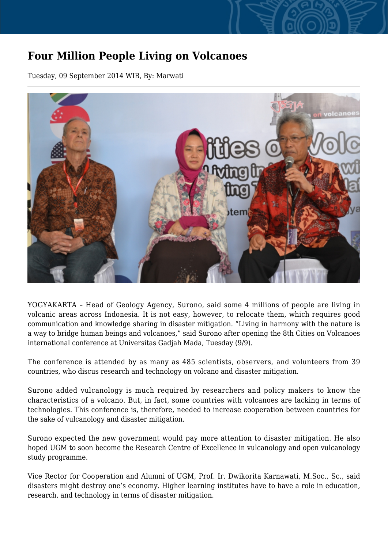## **Four Million People Living on Volcanoes**

Tuesday, 09 September 2014 WIB, By: Marwati



YOGYAKARTA – Head of Geology Agency, Surono, said some 4 millions of people are living in volcanic areas across Indonesia. It is not easy, however, to relocate them, which requires good communication and knowledge sharing in disaster mitigation. "Living in harmony with the nature is a way to bridge human beings and volcanoes," said Surono after opening the 8th Cities on Volcanoes international conference at Universitas Gadjah Mada, Tuesday (9/9).

The conference is attended by as many as 485 scientists, observers, and volunteers from 39 countries, who discus research and technology on volcano and disaster mitigation.

Surono added vulcanology is much required by researchers and policy makers to know the characteristics of a volcano. But, in fact, some countries with volcanoes are lacking in terms of technologies. This conference is, therefore, needed to increase cooperation between countries for the sake of vulcanology and disaster mitigation.

Surono expected the new government would pay more attention to disaster mitigation. He also hoped UGM to soon become the Research Centre of Excellence in vulcanology and open vulcanology study programme.

Vice Rector for Cooperation and Alumni of UGM, Prof. Ir. Dwikorita Karnawati, M.Soc., Sc., said disasters might destroy one's economy. Higher learning institutes have to have a role in education, research, and technology in terms of disaster mitigation.